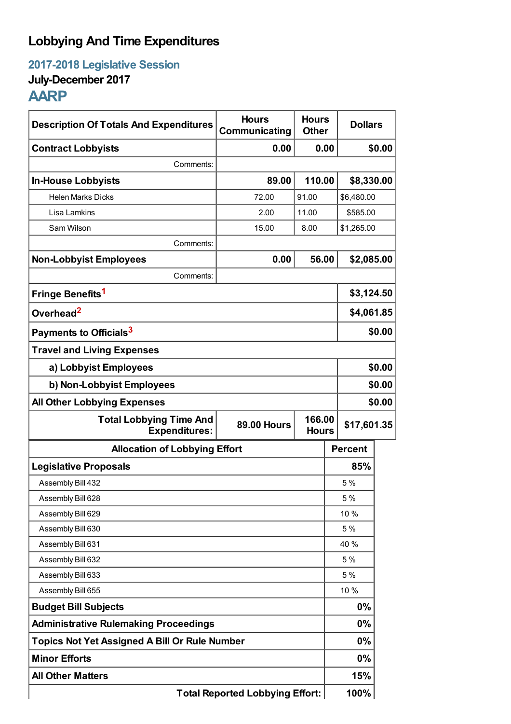# **Lobbying And Time Expenditures**

**2017-2018 Legislative Session**

## **July-December 2017**

## **AARP**

| <b>Description Of Totals And Expenditures</b>                                                          | <b>Hours</b><br>Communicating | <b>Hours</b><br><b>Other</b> | <b>Dollars</b> |        |
|--------------------------------------------------------------------------------------------------------|-------------------------------|------------------------------|----------------|--------|
| <b>Contract Lobbyists</b>                                                                              | 0.00                          | 0.00                         |                | \$0.00 |
| Comments:                                                                                              |                               |                              |                |        |
| <b>In-House Lobbyists</b>                                                                              | 89.00                         | 110.00                       | \$8,330.00     |        |
| <b>Helen Marks Dicks</b>                                                                               | 72.00                         | 91.00                        | \$6,480.00     |        |
| Lisa Lamkins                                                                                           | 2.00                          | 11.00                        | \$585.00       |        |
| Sam Wilson                                                                                             | 15.00                         | 8.00                         | \$1,265.00     |        |
| Comments:                                                                                              |                               |                              |                |        |
| <b>Non-Lobbyist Employees</b>                                                                          | 0.00                          | 56.00                        | \$2,085.00     |        |
| Comments:                                                                                              |                               |                              |                |        |
| Fringe Benefits <sup>1</sup>                                                                           |                               |                              | \$3,124.50     |        |
| Overhead <sup>2</sup>                                                                                  |                               |                              | \$4,061.85     |        |
| Payments to Officials <sup>3</sup>                                                                     |                               |                              |                | \$0.00 |
| <b>Travel and Living Expenses</b>                                                                      |                               |                              |                |        |
| a) Lobbyist Employees                                                                                  |                               |                              |                | \$0.00 |
| b) Non-Lobbyist Employees                                                                              |                               |                              | \$0.00         |        |
| <b>All Other Lobbying Expenses</b>                                                                     |                               |                              | \$0.00         |        |
| 166.00<br><b>Total Lobbying Time And</b><br><b>89.00 Hours</b><br><b>Expenditures:</b><br><b>Hours</b> |                               |                              | \$17,601.35    |        |
| <b>Allocation of Lobbying Effort</b>                                                                   |                               |                              | <b>Percent</b> |        |
| <b>Legislative Proposals</b>                                                                           |                               |                              | 85%            |        |
| Assembly Bill 432                                                                                      |                               |                              | 5 %            |        |
| Assembly Bill 628                                                                                      |                               |                              | 5 %            |        |
| Assembly Bill 629                                                                                      |                               |                              | 10 %           |        |
| Assembly Bill 630                                                                                      |                               |                              | 5 %            |        |
| Assembly Bill 631                                                                                      |                               |                              | 40 %           |        |
| Assembly Bill 632                                                                                      |                               |                              | 5 %            |        |
| Assembly Bill 633                                                                                      |                               |                              | 5 %            |        |
| Assembly Bill 655                                                                                      |                               |                              | 10 %           |        |
| <b>Budget Bill Subjects</b>                                                                            |                               |                              | $0\%$          |        |
| <b>Administrative Rulemaking Proceedings</b>                                                           |                               |                              | $0\%$          |        |
| <b>Topics Not Yet Assigned A Bill Or Rule Number</b>                                                   |                               |                              | $0\%$          |        |
| <b>Minor Efforts</b>                                                                                   |                               |                              | $0\%$          |        |
| <b>All Other Matters</b>                                                                               |                               |                              | 15%            |        |
| <b>Total Reported Lobbying Effort:</b>                                                                 |                               |                              | 100%           |        |